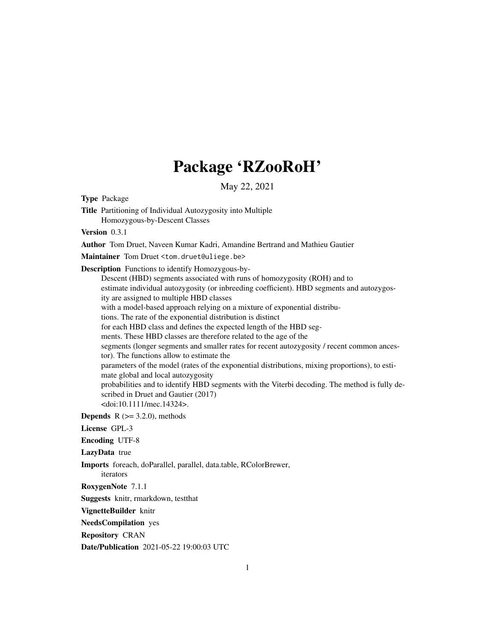## Package 'RZooRoH'

May 22, 2021

Type Package Title Partitioning of Individual Autozygosity into Multiple Homozygous-by-Descent Classes Version 0.3.1 Author Tom Druet, Naveen Kumar Kadri, Amandine Bertrand and Mathieu Gautier Maintainer Tom Druet <tom.druet@uliege.be> Description Functions to identify Homozygous-by-Descent (HBD) segments associated with runs of homozygosity (ROH) and to estimate individual autozygosity (or inbreeding coefficient). HBD segments and autozygosity are assigned to multiple HBD classes with a model-based approach relying on a mixture of exponential distributions. The rate of the exponential distribution is distinct for each HBD class and defines the expected length of the HBD segments. These HBD classes are therefore related to the age of the segments (longer segments and smaller rates for recent autozygosity / recent common ancestor). The functions allow to estimate the parameters of the model (rates of the exponential distributions, mixing proportions), to estimate global and local autozygosity probabilities and to identify HBD segments with the Viterbi decoding. The method is fully described in Druet and Gautier (2017) <doi:10.1111/mec.14324>. **Depends** R  $(>= 3.2.0)$ , methods License GPL-3 Encoding UTF-8 LazyData true Imports foreach, doParallel, parallel, data.table, RColorBrewer, iterators RoxygenNote 7.1.1 Suggests knitr, rmarkdown, testthat VignetteBuilder knitr NeedsCompilation yes Repository CRAN Date/Publication 2021-05-22 19:00:03 UTC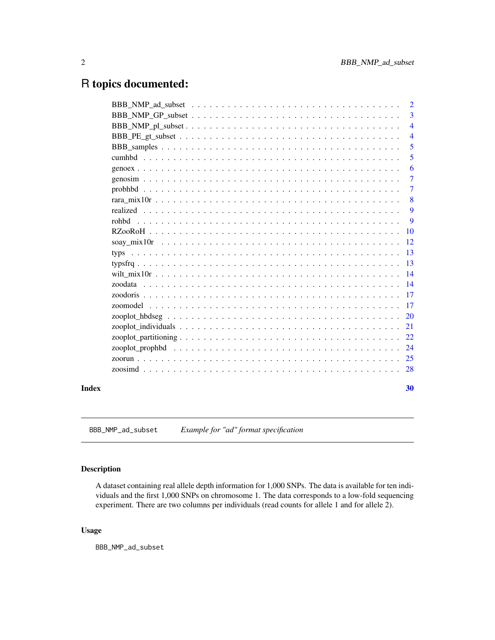## <span id="page-1-0"></span>R topics documented:

|       | $\overline{2}$ |
|-------|----------------|
|       | $\overline{3}$ |
|       | $\overline{4}$ |
|       | $\overline{4}$ |
|       | 5              |
|       | 5              |
|       | 6              |
|       | $\overline{7}$ |
|       | $\overline{7}$ |
|       | 8              |
|       | 9              |
|       | 9              |
|       |                |
|       |                |
|       |                |
|       |                |
|       |                |
|       |                |
|       |                |
|       |                |
|       |                |
|       |                |
|       |                |
|       |                |
|       |                |
|       |                |
| Index | 30             |

BBB\_NMP\_ad\_subset *Example for "ad" format specification*

## Description

A dataset containing real allele depth information for 1,000 SNPs. The data is available for ten individuals and the first 1,000 SNPs on chromosome 1. The data corresponds to a low-fold sequencing experiment. There are two columns per individuals (read counts for allele 1 and for allele 2).

## Usage

BBB\_NMP\_ad\_subset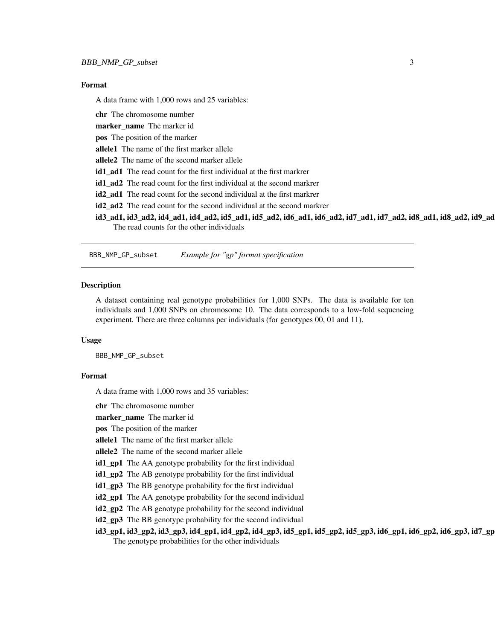#### <span id="page-2-0"></span>Format

A data frame with 1,000 rows and 25 variables:

chr The chromosome number

marker\_name The marker id

pos The position of the marker

allele1 The name of the first marker allele

allele2 The name of the second marker allele

id1\_ad1 The read count for the first individual at the first markrer

id1\_ad2 The read count for the first individual at the second markrer

id2 ad1 The read count for the second individual at the first markrer

id2\_ad2 The read count for the second individual at the second markrer

id3\_ad1, id3\_ad2, id4\_ad1, id4\_ad2, id5\_ad1, id5\_ad2, id6\_ad1, id6\_ad2, id7\_ad1, id7\_ad2, id8\_ad1, id8\_ad2, id9\_ad1, id9\_ad2, id10\_ad1, id10\_ad2 The read counts for the other individuals

BBB\_NMP\_GP\_subset *Example for "gp" format specification*

#### **Description**

A dataset containing real genotype probabilities for 1,000 SNPs. The data is available for ten individuals and 1,000 SNPs on chromosome 10. The data corresponds to a low-fold sequencing experiment. There are three columns per individuals (for genotypes 00, 01 and 11).

#### Usage

BBB\_NMP\_GP\_subset

#### Format

A data frame with 1,000 rows and 35 variables:

chr The chromosome number

marker name The marker id

pos The position of the marker

allele1 The name of the first marker allele

allele<sub>2</sub> The name of the second marker allele

id1\_gp1 The AA genotype probability for the first individual

id1\_gp2 The AB genotype probability for the first individual

id1\_gp3 The BB genotype probability for the first individual

id2\_gp1 The AA genotype probability for the second individual

id2\_gp2 The AB genotype probability for the second individual

id2\_gp3 The BB genotype probability for the second individual

id3\_gp1, id3\_gp2, id3\_gp3, id4\_gp1, id4\_gp2, id4\_gp3, id5\_gp1, id5\_gp2, id5\_gp3, id6\_gp1, id6\_gp2, id6\_gp3, id7\_gp1, id7\_gp2, id7\_gp3, id8\_gp1, id8\_gp2, id8\_gp3, id9\_gp1, id9\_gp2, id9\_gp3, id10\_gp1, id10\_gp2, id10\_gp3 The genotype probabilities for the other individuals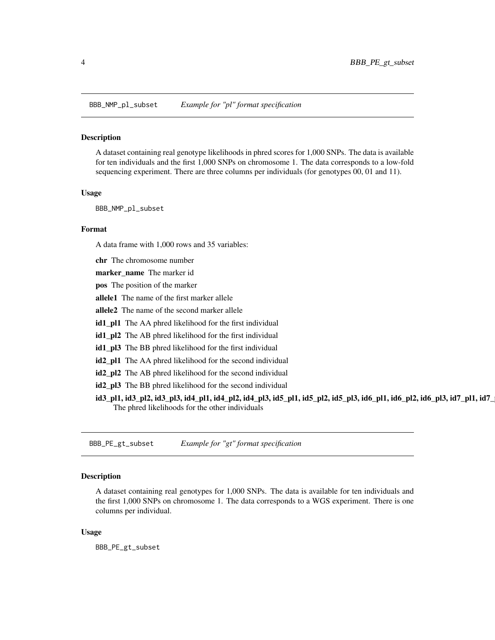<span id="page-3-0"></span>BBB\_NMP\_pl\_subset *Example for "pl" format specification*

#### **Description**

A dataset containing real genotype likelihoods in phred scores for 1,000 SNPs. The data is available for ten individuals and the first 1,000 SNPs on chromosome 1. The data corresponds to a low-fold sequencing experiment. There are three columns per individuals (for genotypes 00, 01 and 11).

#### Usage

BBB\_NMP\_pl\_subset

#### Format

A data frame with 1,000 rows and 35 variables:

chr The chromosome number

marker\_name The marker id

pos The position of the marker

allele1 The name of the first marker allele

allele2 The name of the second marker allele

id1\_pl1 The AA phred likelihood for the first individual

id1\_pl2 The AB phred likelihood for the first individual

id1\_pl3 The BB phred likelihood for the first individual

id2\_pl1 The AA phred likelihood for the second individual

id2\_pl2 The AB phred likelihood for the second individual

id2\_pl3 The BB phred likelihood for the second individual

id3\_pl1, id3\_pl2, id3\_pl3, id4\_pl1, id4\_pl2, id4\_pl3, id5\_pl1, id5\_pl2, id5\_pl3, id6\_pl1, id6\_pl2, id6\_pl3, id7\_pl1, id7\_pl2, id7\_pl3, id8\_pl1, id8\_pl2, id8\_pl3, id9\_pl1, id9\_pl2, id9\_pl3, id10\_pl1, id10\_pl2, id10\_pl3 The phred likelihoods for the other individuals

BBB\_PE\_gt\_subset *Example for "gt" format specification*

#### Description

A dataset containing real genotypes for 1,000 SNPs. The data is available for ten individuals and the first 1,000 SNPs on chromosome 1. The data corresponds to a WGS experiment. There is one columns per individual.

#### Usage

BBB\_PE\_gt\_subset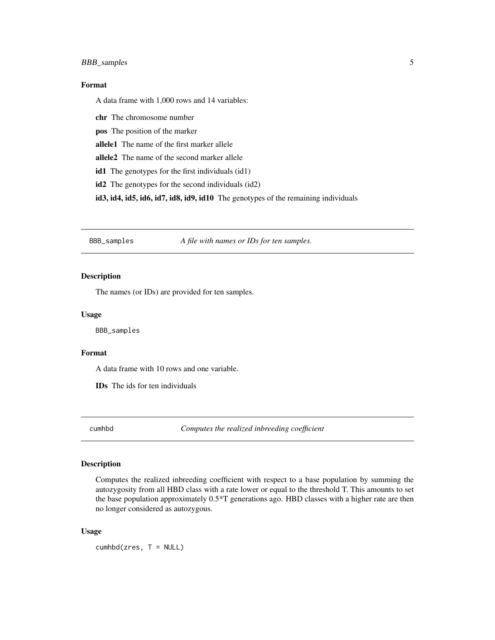## <span id="page-4-0"></span>BBB\_samples 5

## Format

A data frame with 1,000 rows and 14 variables:

chr The chromosome number

pos The position of the marker

allele1 The name of the first marker allele

allele2 The name of the second marker allele

id1 The genotypes for the first individuals (id1)

id2 The genotypes for the second individuals (id2)

id3, id4, id5, id6, id7, id8, id9, id10 The genotypes of the remaining individuals

BBB\_samples *A file with names or IDs for ten samples.*

## Description

The names (or IDs) are provided for ten samples.

#### Usage

BBB\_samples

#### Format

A data frame with 10 rows and one variable.

IDs The ids for ten individuals

cumhbd *Computes the realized inbreeding coefficient*

#### Description

Computes the realized inbreeding coefficient with respect to a base population by summing the autozygosity from all HBD class with a rate lower or equal to the threshold T. This amounts to set the base population approximately 0.5\*T generations ago. HBD classes with a higher rate are then no longer considered as autozygous.

#### Usage

cumhbd(zres, T = NULL)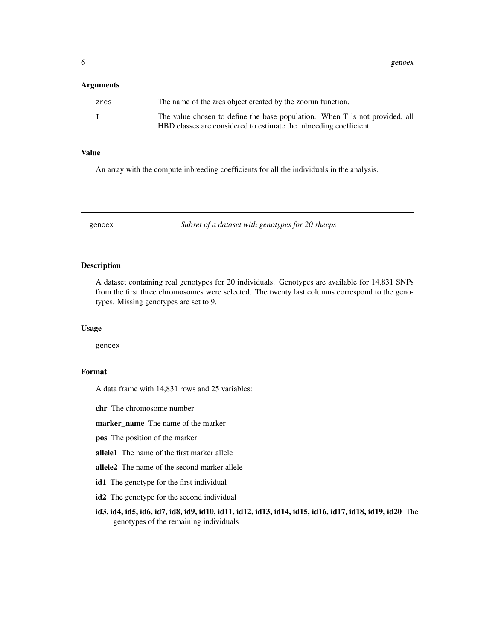<span id="page-5-0"></span>6 genoex and the set of the set of the set of the set of the set of the set of the set of the set of the set of the set of the set of the set of the set of the set of the set of the set of the set of the set of the set of

#### **Arguments**

| zres | The name of the zres object created by the zoorun function.                                                                                       |
|------|---------------------------------------------------------------------------------------------------------------------------------------------------|
|      | The value chosen to define the base population. When T is not provided, all<br>HBD classes are considered to estimate the inbreeding coefficient. |

## Value

An array with the compute inbreeding coefficients for all the individuals in the analysis.

genoex *Subset of a dataset with genotypes for 20 sheeps*

#### Description

A dataset containing real genotypes for 20 individuals. Genotypes are available for 14,831 SNPs from the first three chromosomes were selected. The twenty last columns correspond to the genotypes. Missing genotypes are set to 9.

#### Usage

genoex

## Format

A data frame with 14,831 rows and 25 variables:

chr The chromosome number

marker\_name The name of the marker

pos The position of the marker

allele1 The name of the first marker allele

allele2 The name of the second marker allele

id1 The genotype for the first individual

id2 The genotype for the second individual

id3, id4, id5, id6, id7, id8, id9, id10, id11, id12, id13, id14, id15, id16, id17, id18, id19, id20 The genotypes of the remaining individuals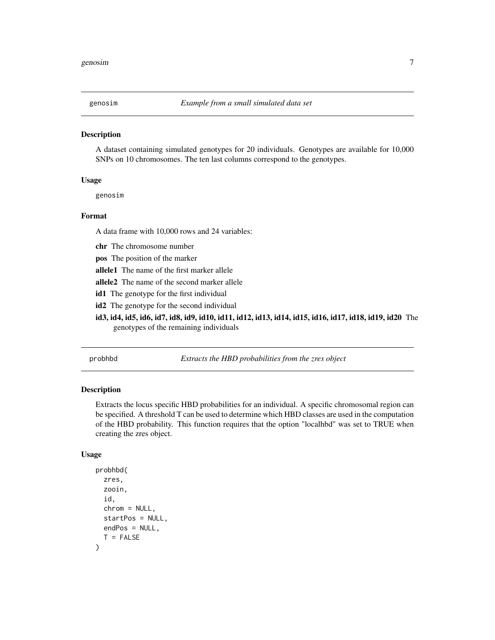<span id="page-6-0"></span>

#### **Description**

A dataset containing simulated genotypes for 20 individuals. Genotypes are available for 10,000 SNPs on 10 chromosomes. The ten last columns correspond to the genotypes.

#### Usage

genosim

#### Format

A data frame with 10,000 rows and 24 variables:

chr The chromosome number

pos The position of the marker

allele1 The name of the first marker allele

allele2 The name of the second marker allele

id1 The genotype for the first individual

id2 The genotype for the second individual

id3, id4, id5, id6, id7, id8, id9, id10, id11, id12, id13, id14, id15, id16, id17, id18, id19, id20 The genotypes of the remaining individuals

probhbd *Extracts the HBD probabilities from the zres object*

#### Description

Extracts the locus specific HBD probabilities for an individual. A specific chromosomal region can be specified. A threshold T can be used to determine which HBD classes are used in the computation of the HBD probability. This function requires that the option "localhbd" was set to TRUE when creating the zres object.

#### Usage

```
probhbd(
  zres,
  zooin,
  id,
  chrom = NULL,
  startPos = NULL,
  endPos = NULL,
  T = FALSE)
```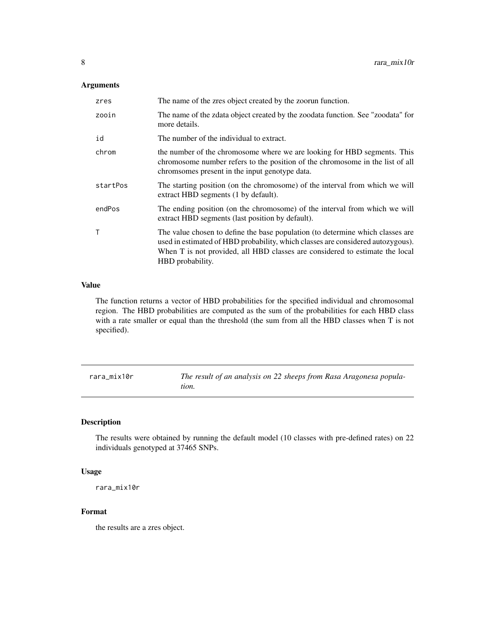## <span id="page-7-0"></span>Arguments

| zres     | The name of the zres object created by the zoorun function.                                                                                                                                                                                                           |
|----------|-----------------------------------------------------------------------------------------------------------------------------------------------------------------------------------------------------------------------------------------------------------------------|
| zooin    | The name of the zdata object created by the zoodata function. See "zoodata" for<br>more details.                                                                                                                                                                      |
| id       | The number of the individual to extract.                                                                                                                                                                                                                              |
| chrom    | the number of the chromosome where we are looking for HBD segments. This<br>chromosome number refers to the position of the chromosome in the list of all<br>chromsomes present in the input genotype data.                                                           |
| startPos | The starting position (on the chromosome) of the interval from which we will<br>extract HBD segments (1 by default).                                                                                                                                                  |
| endPos   | The ending position (on the chromosome) of the interval from which we will<br>extract HBD segments (last position by default).                                                                                                                                        |
| T        | The value chosen to define the base population (to determine which classes are<br>used in estimated of HBD probability, which classes are considered autozygous).<br>When T is not provided, all HBD classes are considered to estimate the local<br>HBD probability. |

### Value

The function returns a vector of HBD probabilities for the specified individual and chromosomal region. The HBD probabilities are computed as the sum of the probabilities for each HBD class with a rate smaller or equal than the threshold (the sum from all the HBD classes when T is not specified).

rara\_mix10r *The result of an analysis on 22 sheeps from Rasa Aragonesa population.*

## Description

The results were obtained by running the default model (10 classes with pre-defined rates) on 22 individuals genotyped at 37465 SNPs.

## Usage

```
rara_mix10r
```
#### Format

the results are a zres object.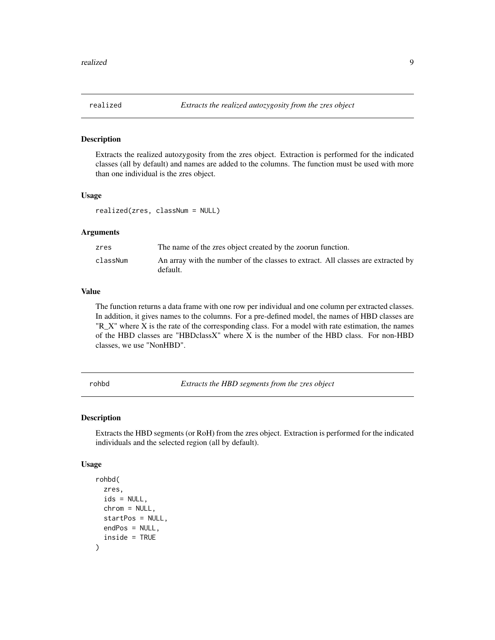<span id="page-8-0"></span>

#### Description

Extracts the realized autozygosity from the zres object. Extraction is performed for the indicated classes (all by default) and names are added to the columns. The function must be used with more than one individual is the zres object.

### Usage

realized(zres, classNum = NULL)

#### Arguments

| zres     | The name of the zres object created by the zoorun function.                                  |
|----------|----------------------------------------------------------------------------------------------|
| classNum | An array with the number of the classes to extract. All classes are extracted by<br>default. |

#### Value

The function returns a data frame with one row per individual and one column per extracted classes. In addition, it gives names to the columns. For a pre-defined model, the names of HBD classes are "R $X$ " where X is the rate of the corresponding class. For a model with rate estimation, the names of the HBD classes are "HBDclassX" where X is the number of the HBD class. For non-HBD classes, we use "NonHBD".

rohbd *Extracts the HBD segments from the zres object*

#### Description

Extracts the HBD segments (or RoH) from the zres object. Extraction is performed for the indicated individuals and the selected region (all by default).

#### Usage

```
rohbd(
  zres,
  ids = NULL,chrom = NULL,
  startPos = NULL,
  endPos = NULL,
  inside = TRUE
)
```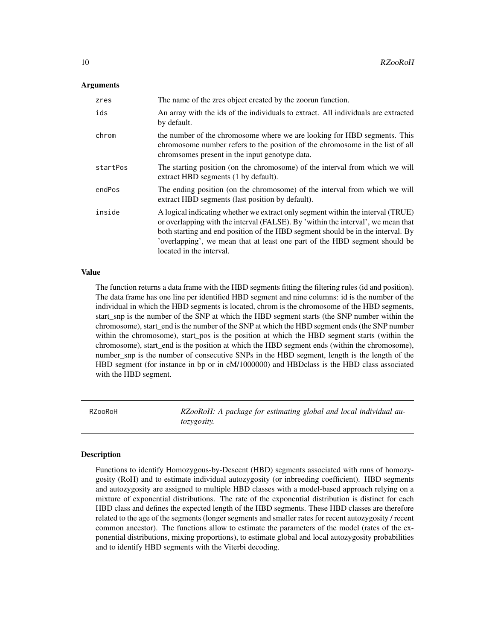#### <span id="page-9-0"></span>Arguments

| zres     | The name of the zres object created by the zoorun function.                                                                                                                                                                                                                                                                                                      |
|----------|------------------------------------------------------------------------------------------------------------------------------------------------------------------------------------------------------------------------------------------------------------------------------------------------------------------------------------------------------------------|
| ids      | An array with the ids of the individuals to extract. All individuals are extracted<br>by default.                                                                                                                                                                                                                                                                |
| chrom    | the number of the chromosome where we are looking for HBD segments. This<br>chromosome number refers to the position of the chromosome in the list of all<br>chromsomes present in the input genotype data.                                                                                                                                                      |
| startPos | The starting position (on the chromosome) of the interval from which we will<br>extract HBD segments (1 by default).                                                                                                                                                                                                                                             |
| endPos   | The ending position (on the chromosome) of the interval from which we will<br>extract HBD segments (last position by default).                                                                                                                                                                                                                                   |
| inside   | A logical indicating whether we extract only segment within the interval (TRUE)<br>or overlapping with the interval (FALSE). By 'within the interval', we mean that<br>both starting and end position of the HBD segment should be in the interval. By<br>'overlapping', we mean that at least one part of the HBD segment should be<br>located in the interval. |

#### Value

The function returns a data frame with the HBD segments fitting the filtering rules (id and position). The data frame has one line per identified HBD segment and nine columns: id is the number of the individual in which the HBD segments is located, chrom is the chromosome of the HBD segments, start\_snp is the number of the SNP at which the HBD segment starts (the SNP number within the chromosome), start end is the number of the SNP at which the HBD segment ends (the SNP number within the chromosome), start\_pos is the position at which the HBD segment starts (within the chromosome), start end is the position at which the HBD segment ends (within the chromosome), number\_snp is the number of consecutive SNPs in the HBD segment, length is the length of the HBD segment (for instance in bp or in cM/1000000) and HBDclass is the HBD class associated with the HBD segment.

RZooRoH *RZooRoH: A package for estimating global and local individual autozygosity.*

#### Description

Functions to identify Homozygous-by-Descent (HBD) segments associated with runs of homozygosity (RoH) and to estimate individual autozygosity (or inbreeding coefficient). HBD segments and autozygosity are assigned to multiple HBD classes with a model-based approach relying on a mixture of exponential distributions. The rate of the exponential distribution is distinct for each HBD class and defines the expected length of the HBD segments. These HBD classes are therefore related to the age of the segments (longer segments and smaller rates for recent autozygosity / recent common ancestor). The functions allow to estimate the parameters of the model (rates of the exponential distributions, mixing proportions), to estimate global and local autozygosity probabilities and to identify HBD segments with the Viterbi decoding.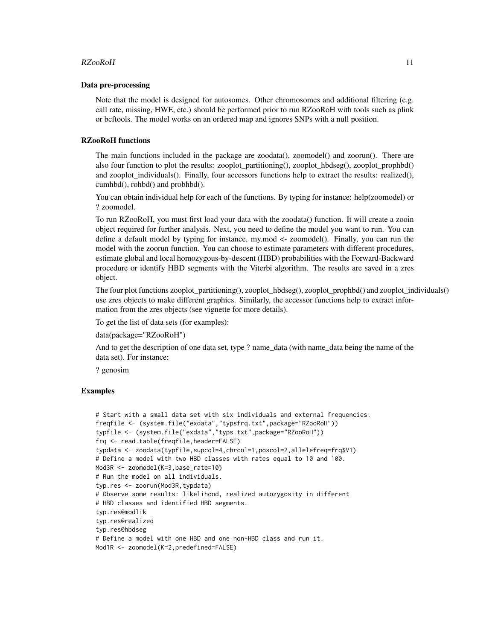#### $RZooRoH$  11

#### Data pre-processing

Note that the model is designed for autosomes. Other chromosomes and additional filtering (e.g. call rate, missing, HWE, etc.) should be performed prior to run RZooRoH with tools such as plink or bcftools. The model works on an ordered map and ignores SNPs with a null position.

#### RZooRoH functions

The main functions included in the package are zoodata(), zoomodel() and zoorun(). There are also four function to plot the results: zooplot partitioning(), zooplot hbdseg(), zooplot prophbd() and zooplot individuals(). Finally, four accessors functions help to extract the results: realized(), cumhbd(), rohbd() and probhbd().

You can obtain individual help for each of the functions. By typing for instance: help(zoomodel) or ? zoomodel.

To run RZooRoH, you must first load your data with the zoodata() function. It will create a zooin object required for further analysis. Next, you need to define the model you want to run. You can define a default model by typing for instance, my.mod <- zoomodel(). Finally, you can run the model with the zoorun function. You can choose to estimate parameters with different procedures, estimate global and local homozygous-by-descent (HBD) probabilities with the Forward-Backward procedure or identify HBD segments with the Viterbi algorithm. The results are saved in a zres object.

The four plot functions zooplot partitioning(), zooplot  $hbdseg()$ , zooplot prophbd() and zooplot individuals() use zres objects to make different graphics. Similarly, the accessor functions help to extract information from the zres objects (see vignette for more details).

To get the list of data sets (for examples):

```
data(package="RZooRoH")
```
And to get the description of one data set, type ? name\_data (with name\_data being the name of the data set). For instance:

? genosim

#### Examples

```
# Start with a small data set with six individuals and external frequencies.
freqfile <- (system.file("exdata","typsfrq.txt",package="RZooRoH"))
typfile <- (system.file("exdata","typs.txt",package="RZooRoH"))
frq <- read.table(freqfile,header=FALSE)
typdata <- zoodata(typfile,supcol=4,chrcol=1,poscol=2,allelefreq=frq$V1)
# Define a model with two HBD classes with rates equal to 10 and 100.
Mod3R <- zoomodel(K=3,base_rate=10)
# Run the model on all individuals.
typ.res <- zoorun(Mod3R,typdata)
# Observe some results: likelihood, realized autozygosity in different
# HBD classes and identified HBD segments.
typ.res@modlik
typ.res@realized
typ.res@hbdseg
# Define a model with one HBD and one non-HBD class and run it.
Mod1R <- zoomodel(K=2,predefined=FALSE)
```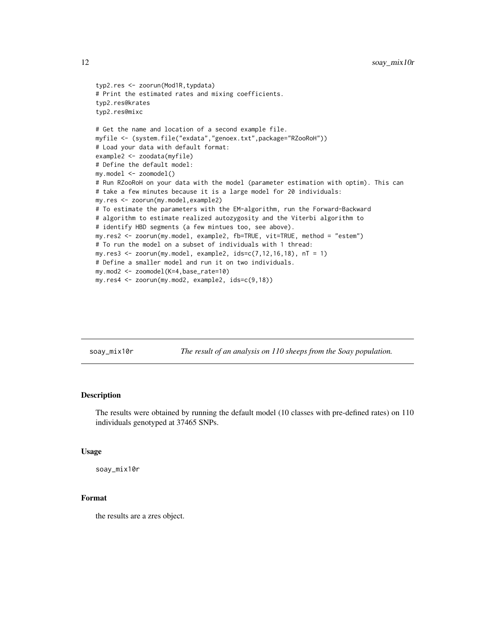```
typ2.res <- zoorun(Mod1R,typdata)
# Print the estimated rates and mixing coefficients.
typ2.res@krates
typ2.res@mixc
# Get the name and location of a second example file.
myfile <- (system.file("exdata","genoex.txt",package="RZooRoH"))
# Load your data with default format:
example2 <- zoodata(myfile)
# Define the default model:
my.model <- zoomodel()
# Run RZooRoH on your data with the model (parameter estimation with optim). This can
# take a few minutes because it is a large model for 20 individuals:
my.res <- zoorun(my.model,example2)
# To estimate the parameters with the EM-algorithm, run the Forward-Backward
# algorithm to estimate realized autozygosity and the Viterbi algorithm to
# identify HBD segments (a few mintues too, see above).
my.res2 <- zoorun(my.model, example2, fb=TRUE, vit=TRUE, method = "estem")
# To run the model on a subset of individuals with 1 thread:
my.res3 <- zoorun(my.model, example2, ids = c(7, 12, 16, 18), nT = 1)
# Define a smaller model and run it on two individuals.
my.mod2 <- zoomodel(K=4,base_rate=10)
my.res4 <- zoorun(my.mod2, example2, ids=c(9,18))
```
soay\_mix10r *The result of an analysis on 110 sheeps from the Soay population.*

## Description

The results were obtained by running the default model (10 classes with pre-defined rates) on 110 individuals genotyped at 37465 SNPs.

#### Usage

```
soay_mix10r
```
## Format

the results are a zres object.

<span id="page-11-0"></span>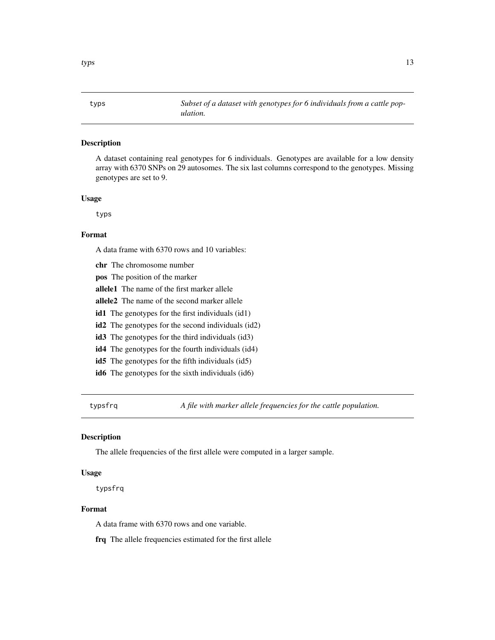<span id="page-12-0"></span>

### Description

A dataset containing real genotypes for 6 individuals. Genotypes are available for a low density array with 6370 SNPs on 29 autosomes. The six last columns correspond to the genotypes. Missing genotypes are set to 9.

#### Usage

typs

## Format

A data frame with 6370 rows and 10 variables:

chr The chromosome number pos The position of the marker allele1 The name of the first marker allele allele2 The name of the second marker allele id1 The genotypes for the first individuals (id1) id2 The genotypes for the second individuals (id2) id3 The genotypes for the third individuals (id3) id4 The genotypes for the fourth individuals (id4) id5 The genotypes for the fifth individuals (id5) id6 The genotypes for the sixth individuals (id6)

typsfrq *A file with marker allele frequencies for the cattle population.*

#### Description

The allele frequencies of the first allele were computed in a larger sample.

#### Usage

typsfrq

#### Format

A data frame with 6370 rows and one variable.

frq The allele frequencies estimated for the first allele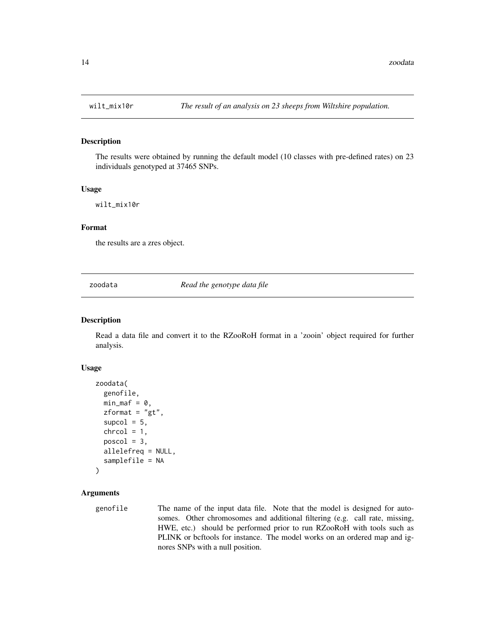## Description

The results were obtained by running the default model (10 classes with pre-defined rates) on 23 individuals genotyped at 37465 SNPs.

#### Usage

wilt\_mix10r

## Format

the results are a zres object.

zoodata *Read the genotype data file*

## Description

Read a data file and convert it to the RZooRoH format in a 'zooin' object required for further analysis.

#### Usage

```
zoodata(
  genofile,
 min\_maf = 0,
 zformat = "gt",supcol = 5,
  chrcol = 1,
 poscol = 3,
  allelefreq = NULL,
  samplefile = NA
)
```
## Arguments

genofile The name of the input data file. Note that the model is designed for autosomes. Other chromosomes and additional filtering (e.g. call rate, missing, HWE, etc.) should be performed prior to run RZooRoH with tools such as PLINK or bcftools for instance. The model works on an ordered map and ignores SNPs with a null position.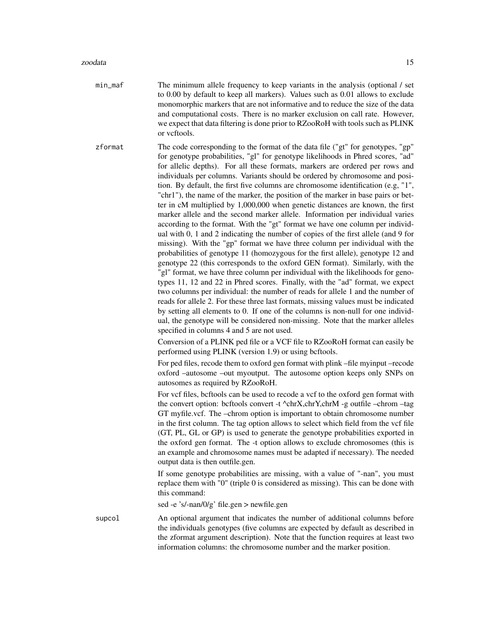- min\_maf The minimum allele frequency to keep variants in the analysis (optional / set to 0.00 by default to keep all markers). Values such as 0.01 allows to exclude monomorphic markers that are not informative and to reduce the size of the data and computational costs. There is no marker exclusion on call rate. However, we expect that data filtering is done prior to RZooRoH with tools such as PLINK or vcftools.
- zformat The code corresponding to the format of the data file ("gt" for genotypes, "gp" for genotype probabilities, "gl" for genotype likelihoods in Phred scores, "ad" for allelic depths). For all these formats, markers are ordered per rows and individuals per columns. Variants should be ordered by chromosome and position. By default, the first five columns are chromosome identification (e.g, "1", "chr1"), the name of the marker, the position of the marker in base pairs or better in cM multiplied by 1,000,000 when genetic distances are known, the first marker allele and the second marker allele. Information per individual varies according to the format. With the "gt" format we have one column per individual with 0, 1 and 2 indicating the number of copies of the first allele (and 9 for missing). With the "gp" format we have three column per individual with the probabilities of genotype 11 (homozygous for the first allele), genotype 12 and genotype 22 (this corresponds to the oxford GEN format). Similarly, with the "gl" format, we have three column per individual with the likelihoods for genotypes 11, 12 and 22 in Phred scores. Finally, with the "ad" format, we expect two columns per individual: the number of reads for allele 1 and the number of reads for allele 2. For these three last formats, missing values must be indicated by setting all elements to 0. If one of the columns is non-null for one individual, the genotype will be considered non-missing. Note that the marker alleles specified in columns 4 and 5 are not used.

Conversion of a PLINK ped file or a VCF file to RZooRoH format can easily be performed using PLINK (version 1.9) or using bcftools.

For ped files, recode them to oxford gen format with plink –file myinput –recode oxford –autosome –out myoutput. The autosome option keeps only SNPs on autosomes as required by RZooRoH.

For vcf files, bcftools can be used to recode a vcf to the oxford gen format with the convert option: bcftools convert -t ^chrX,chrY,chrM -g outfile –chrom –tag GT myfile.vcf. The –chrom option is important to obtain chromosome number in the first column. The tag option allows to select which field from the vcf file (GT, PL, GL or GP) is used to generate the genotype probabilities exported in the oxford gen format. The -t option allows to exclude chromosomes (this is an example and chromosome names must be adapted if necessary). The needed output data is then outfile.gen.

If some genotype probabilities are missing, with a value of "-nan", you must replace them with "0" (triple 0 is considered as missing). This can be done with this command:

sed -e 's/-nan/0/g' file.gen > newfile.gen

supcol An optional argument that indicates the number of additional columns before the individuals genotypes (five columns are expected by default as described in the zformat argument description). Note that the function requires at least two information columns: the chromosome number and the marker position.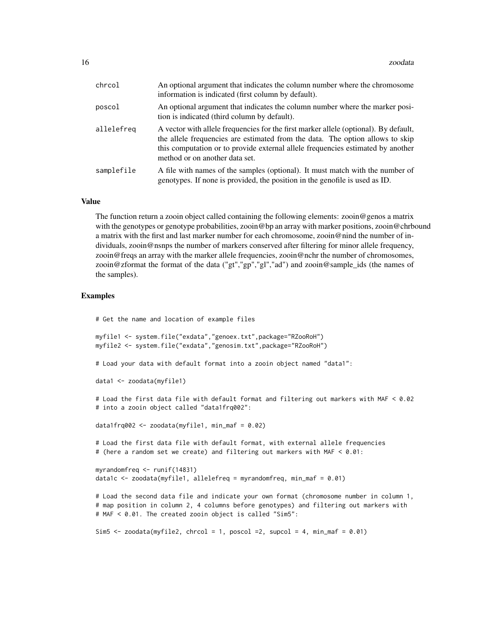| chrcol     | An optional argument that indicates the column number where the chromosome<br>information is indicated (first column by default).                                                                                                                                                          |
|------------|--------------------------------------------------------------------------------------------------------------------------------------------------------------------------------------------------------------------------------------------------------------------------------------------|
| poscol     | An optional argument that indicates the column number where the marker posi-<br>tion is indicated (third column by default).                                                                                                                                                               |
| allelefreq | A vector with allele frequencies for the first marker allele (optional). By default,<br>the allele frequencies are estimated from the data. The option allows to skip<br>this computation or to provide external allele frequencies estimated by another<br>method or on another data set. |
| samplefile | A file with names of the samples (optional). It must match with the number of<br>genotypes. If none is provided, the position in the genofile is used as ID.                                                                                                                               |

#### Value

The function return a zooin object called containing the following elements: zooin@genos a matrix with the genotypes or genotype probabilities, zooin@bp an array with marker positions, zooin@chrbound a matrix with the first and last marker number for each chromosome, zooin@nind the number of individuals, zooin@nsnps the number of markers conserved after filtering for minor allele frequency, zooin@freqs an array with the marker allele frequencies, zooin@nchr the number of chromosomes, zooin@zformat the format of the data ("gt","gp","gl","ad") and zooin@sample\_ids (the names of the samples).

#### Examples

# Get the name and location of example files

```
myfile1 <- system.file("exdata","genoex.txt",package="RZooRoH")
myfile2 <- system.file("exdata","genosim.txt",package="RZooRoH")
```
# Load your data with default format into a zooin object named "data1":

```
data1 <- zoodata(myfile1)
```
# Load the first data file with default format and filtering out markers with MAF < 0.02 # into a zooin object called "data1frq002":

data1frq002 <- zoodata(myfile1, min\_maf = 0.02)

# Load the first data file with default format, with external allele frequencies # (here a random set we create) and filtering out markers with MAF < 0.01:

```
myrandomfreq <- runif(14831)
data1c <- zoodata(myfile1, allelefreq = myrandomfreq, min_maf = 0.01)
```

```
# Load the second data file and indicate your own format (chromosome number in column 1,
# map position in column 2, 4 columns before genotypes) and filtering out markers with
# MAF < 0.01. The created zooin object is called "Sim5":
```

```
Sim5 \le zoodata(myfile2, chrcol = 1, poscol =2, supcol = 4, min_maf = 0.01)
```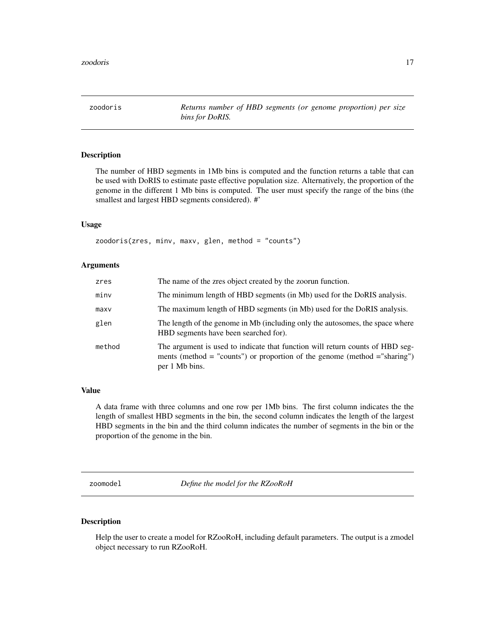<span id="page-16-0"></span>zoodoris *Returns number of HBD segments (or genome proportion) per size bins for DoRIS.*

## Description

The number of HBD segments in 1Mb bins is computed and the function returns a table that can be used with DoRIS to estimate paste effective population size. Alternatively, the proportion of the genome in the different 1 Mb bins is computed. The user must specify the range of the bins (the smallest and largest HBD segments considered). #'

#### Usage

zoodoris(zres, minv, maxv, glen, method = "counts")

#### Arguments

| zres   | The name of the zres object created by the zoorun function.                                                                                                                   |
|--------|-------------------------------------------------------------------------------------------------------------------------------------------------------------------------------|
| minv   | The minimum length of HBD segments (in Mb) used for the DoRIS analysis.                                                                                                       |
| maxv   | The maximum length of HBD segments (in Mb) used for the DoRIS analysis.                                                                                                       |
| glen   | The length of the genome in Mb (including only the autosomes, the space where<br>HBD segments have been searched for).                                                        |
| method | The argument is used to indicate that function will return counts of HBD seg-<br>ments (method = "counts") or proportion of the genome (method = "sharing")<br>per 1 Mb bins. |

#### Value

A data frame with three columns and one row per 1Mb bins. The first column indicates the the length of smallest HBD segments in the bin, the second column indicates the length of the largest HBD segments in the bin and the third column indicates the number of segments in the bin or the proportion of the genome in the bin.

zoomodel *Define the model for the RZooRoH*

#### Description

Help the user to create a model for RZooRoH, including default parameters. The output is a zmodel object necessary to run RZooRoH.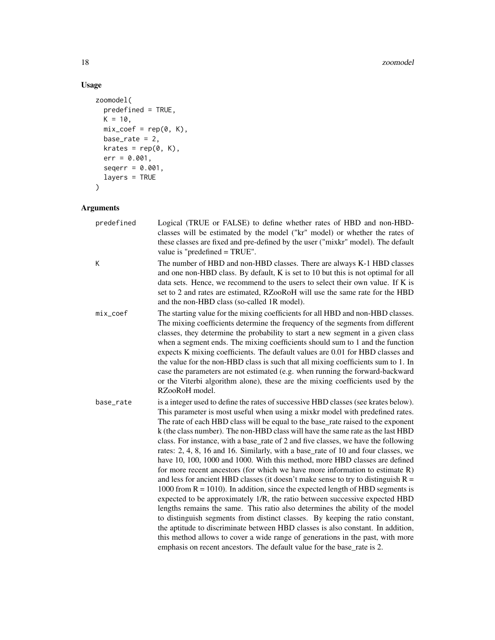#### 18 zoomodel

## Usage

```
zoomodel(
  predefined = TRUE,
  K = 10,mix\_coef = rep(0, K),base_rate = 2,
  krates = rep(0, K),err = 0.001,
  seqerr = 0.001,layers = TRUE
\mathcal{L}
```

| predefined | Logical (TRUE or FALSE) to define whether rates of HBD and non-HBD-<br>classes will be estimated by the model ("kr" model) or whether the rates of<br>these classes are fixed and pre-defined by the user ("mixkr" model). The default<br>value is "predefined = TRUE".                                                                                                                                                                                                                                                                                                                                                                                                                                                                                                                                                                                                                                                                                                                                                                                                                                                                                                                                                                                                                                                                                               |
|------------|-----------------------------------------------------------------------------------------------------------------------------------------------------------------------------------------------------------------------------------------------------------------------------------------------------------------------------------------------------------------------------------------------------------------------------------------------------------------------------------------------------------------------------------------------------------------------------------------------------------------------------------------------------------------------------------------------------------------------------------------------------------------------------------------------------------------------------------------------------------------------------------------------------------------------------------------------------------------------------------------------------------------------------------------------------------------------------------------------------------------------------------------------------------------------------------------------------------------------------------------------------------------------------------------------------------------------------------------------------------------------|
| К          | The number of HBD and non-HBD classes. There are always K-1 HBD classes<br>and one non-HBD class. By default, K is set to 10 but this is not optimal for all<br>data sets. Hence, we recommend to the users to select their own value. If K is<br>set to 2 and rates are estimated, RZooRoH will use the same rate for the HBD<br>and the non-HBD class (so-called 1R model).                                                                                                                                                                                                                                                                                                                                                                                                                                                                                                                                                                                                                                                                                                                                                                                                                                                                                                                                                                                         |
| mix_coef   | The starting value for the mixing coefficients for all HBD and non-HBD classes.<br>The mixing coefficients determine the frequency of the segments from different<br>classes, they determine the probability to start a new segment in a given class<br>when a segment ends. The mixing coefficients should sum to 1 and the function<br>expects K mixing coefficients. The default values are 0.01 for HBD classes and<br>the value for the non-HBD class is such that all mixing coefficients sum to 1. In<br>case the parameters are not estimated (e.g. when running the forward-backward<br>or the Viterbi algorithm alone), these are the mixing coefficients used by the<br>RZooRoH model.                                                                                                                                                                                                                                                                                                                                                                                                                                                                                                                                                                                                                                                                     |
| base rate  | is a integer used to define the rates of successive HBD classes (see krates below).<br>This parameter is most useful when using a mixkr model with predefined rates.<br>The rate of each HBD class will be equal to the base_rate raised to the exponent<br>k (the class number). The non-HBD class will have the same rate as the last HBD<br>class. For instance, with a base_rate of 2 and five classes, we have the following<br>rates: 2, 4, 8, 16 and 16. Similarly, with a base_rate of 10 and four classes, we<br>have 10, 100, 1000 and 1000. With this method, more HBD classes are defined<br>for more recent ancestors (for which we have more information to estimate $R$ )<br>and less for ancient HBD classes (it doesn't make sense to try to distinguish $R =$<br>1000 from $R = 1010$ ). In addition, since the expected length of HBD segments is<br>expected to be approximately 1/R, the ratio between successive expected HBD<br>lengths remains the same. This ratio also determines the ability of the model<br>to distinguish segments from distinct classes. By keeping the ratio constant,<br>the aptitude to discriminate between HBD classes is also constant. In addition,<br>this method allows to cover a wide range of generations in the past, with more<br>emphasis on recent ancestors. The default value for the base_rate is 2. |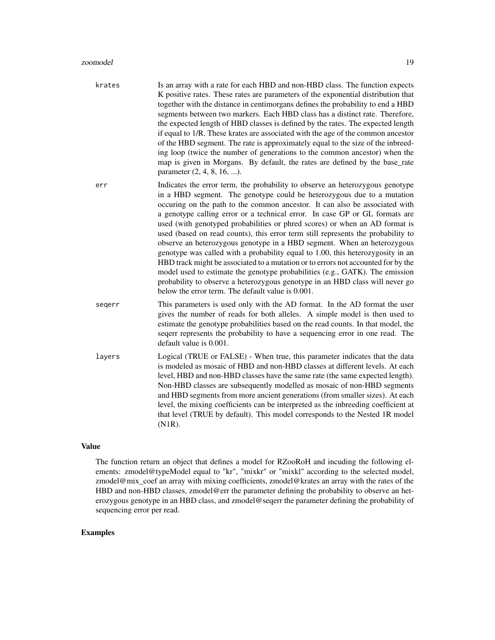- krates Is an array with a rate for each HBD and non-HBD class. The function expects K positive rates. These rates are parameters of the exponential distribution that together with the distance in centimorgans defines the probability to end a HBD segments between two markers. Each HBD class has a distinct rate. Therefore, the expected length of HBD classes is defined by the rates. The expected length if equal to 1/R. These krates are associated with the age of the common ancestor of the HBD segment. The rate is approximately equal to the size of the inbreeding loop (twice the number of generations to the common ancestor) when the map is given in Morgans. By default, the rates are defined by the base\_rate parameter (2, 4, 8, 16, ...).
- err Indicates the error term, the probability to observe an heterozygous genotype in a HBD segment. The genotype could be heterozygous due to a mutation occuring on the path to the common ancestor. It can also be associated with a genotype calling error or a technical error. In case GP or GL formats are used (with genotyped probabilities or phred scores) or when an AD format is used (based on read counts), this error term still represents the probability to observe an heterozygous genotype in a HBD segment. When an heterozygous genotype was called with a probability equal to 1.00, this heterozygosity in an HBD track might be associated to a mutation or to errors not accounted for by the model used to estimate the genotype probabilities (e.g., GATK). The emission probability to observe a heterozygous genotype in an HBD class will never go below the error term. The default value is 0.001.
- seqerr This parameters is used only with the AD format. In the AD format the user gives the number of reads for both alleles. A simple model is then used to estimate the genotype probabilities based on the read counts. In that model, the seqerr represents the probability to have a sequencing error in one read. The default value is 0.001.
- layers Logical (TRUE or FALSE) When true, this parameter indicates that the data is modeled as mosaic of HBD and non-HBD classes at different levels. At each level, HBD and non-HBD classes have the same rate (the same expected length). Non-HBD classes are subsequently modelled as mosaic of non-HBD segments and HBD segments from more ancient generations (from smaller sizes). At each level, the mixing coefficients can be interpreted as the inbreeding coefficient at that level (TRUE by default). This model corresponds to the Nested 1R model (N1R).

#### Value

The function return an object that defines a model for RZooRoH and incuding the following elements: zmodel@typeModel equal to "kr", "mixkr" or "mixkl" according to the selected model, zmodel@mix\_coef an array with mixing coefficients, zmodel@krates an array with the rates of the HBD and non-HBD classes, zmodel@err the parameter defining the probability to observe an heterozygous genotype in an HBD class, and zmodel@seqerr the parameter defining the probability of sequencing error per read.

#### Examples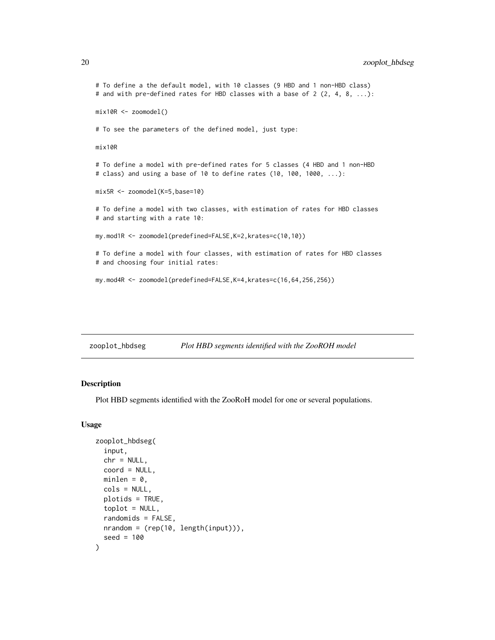## <span id="page-19-0"></span>20 zooplot\_hbdseg

```
# To define a the default model, with 10 classes (9 HBD and 1 non-HBD class)
# and with pre-defined rates for HBD classes with a base of 2 (2, 4, 8, ...):
mix10R <- zoomodel()
# To see the parameters of the defined model, just type:
mix10R
# To define a model with pre-defined rates for 5 classes (4 HBD and 1 non-HBD
# class) and using a base of 10 to define rates (10, 100, 1000, ...):
mix5R <- zoomodel(K=5,base=10)
# To define a model with two classes, with estimation of rates for HBD classes
# and starting with a rate 10:
my.mod1R <- zoomodel(predefined=FALSE,K=2,krates=c(10,10))
# To define a model with four classes, with estimation of rates for HBD classes
# and choosing four initial rates:
my.mod4R <- zoomodel(predefined=FALSE,K=4,krates=c(16,64,256,256))
```
zooplot\_hbdseg *Plot HBD segments identified with the ZooROH model*

#### Description

Plot HBD segments identified with the ZooRoH model for one or several populations.

#### Usage

```
zooplot_hbdseg(
  input,
  chr = NULL,coord = NULL,
  minlen = 0,
  cols = NULL,
  plotids = TRUE,
  toplot = NULL,
  randomids = FALSE,
 nrandom = (rep(10, length(input))),
  seed = 100
)
```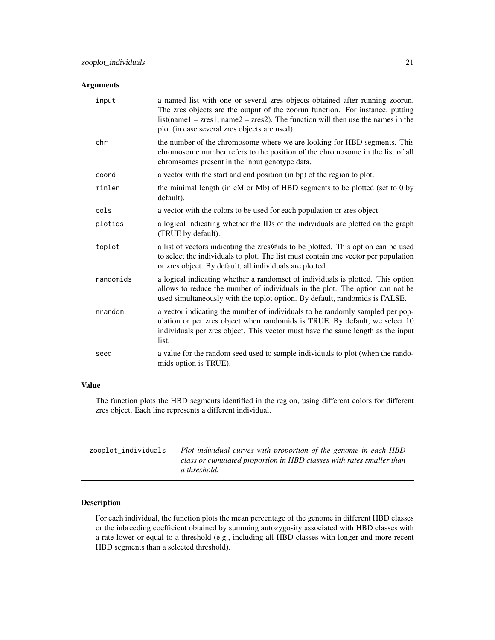## <span id="page-20-0"></span>Arguments

| input     | a named list with one or several zres objects obtained after running zoorun.<br>The zres objects are the output of the zoorun function. For instance, putting<br>$list(name1 = zres1, name2 = zres2).$ The function will then use the names in the<br>plot (in case several zres objects are used). |
|-----------|-----------------------------------------------------------------------------------------------------------------------------------------------------------------------------------------------------------------------------------------------------------------------------------------------------|
| chr       | the number of the chromosome where we are looking for HBD segments. This<br>chromosome number refers to the position of the chromosome in the list of all<br>chromsomes present in the input genotype data.                                                                                         |
| coord     | a vector with the start and end position (in bp) of the region to plot.                                                                                                                                                                                                                             |
| minlen    | the minimal length (in cM or Mb) of HBD segments to be plotted (set to 0 by<br>default).                                                                                                                                                                                                            |
| cols      | a vector with the colors to be used for each population or zres object.                                                                                                                                                                                                                             |
| plotids   | a logical indicating whether the IDs of the individuals are plotted on the graph<br>(TRUE by default).                                                                                                                                                                                              |
| toplot    | a list of vectors indicating the zres@ids to be plotted. This option can be used<br>to select the individuals to plot. The list must contain one vector per population<br>or zres object. By default, all individuals are plotted.                                                                  |
| randomids | a logical indicating whether a randomset of individuals is plotted. This option<br>allows to reduce the number of individuals in the plot. The option can not be<br>used simultaneously with the toplot option. By default, randomids is FALSE.                                                     |
| nrandom   | a vector indicating the number of individuals to be randomly sampled per pop-<br>ulation or per zres object when randomids is TRUE. By default, we select 10<br>individuals per zres object. This vector must have the same length as the input<br>list.                                            |
| seed      | a value for the random seed used to sample individuals to plot (when the rando-<br>mids option is TRUE).                                                                                                                                                                                            |

## Value

The function plots the HBD segments identified in the region, using different colors for different zres object. Each line represents a different individual.

| zooplot_individuals | Plot individual curves with proportion of the genome in each HBD<br>class or cumulated proportion in HBD classes with rates smaller than<br>a threshold. |
|---------------------|----------------------------------------------------------------------------------------------------------------------------------------------------------|
|                     |                                                                                                                                                          |

## Description

For each individual, the function plots the mean percentage of the genome in different HBD classes or the inbreeding coefficient obtained by summing autozygosity associated with HBD classes with a rate lower or equal to a threshold (e.g., including all HBD classes with longer and more recent HBD segments than a selected threshold).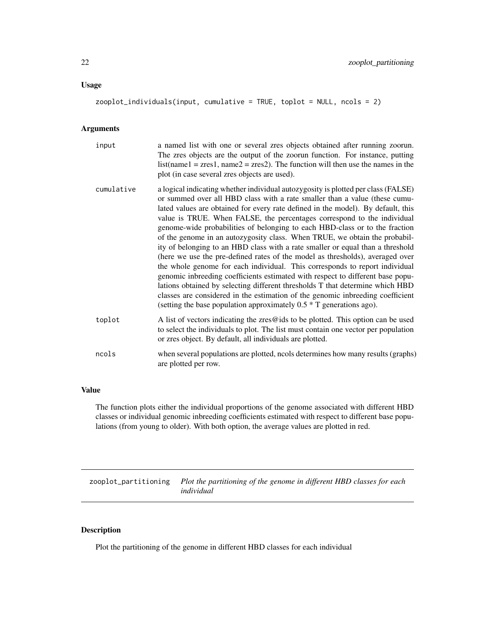#### <span id="page-21-0"></span>Usage

zooplot\_individuals(input, cumulative = TRUE, toplot = NULL, ncols = 2)

## Arguments

| input      | a named list with one or several zres objects obtained after running zoorun.<br>The zres objects are the output of the zoorun function. For instance, putting<br>$list(name1 = zres1, name2 = zres2).$ The function will then use the names in the<br>plot (in case several zres objects are used).                                                                                                                                                                                                                                                                                                                                                                                                                                                                                                                                                                                                                                                                                                                                                                          |
|------------|------------------------------------------------------------------------------------------------------------------------------------------------------------------------------------------------------------------------------------------------------------------------------------------------------------------------------------------------------------------------------------------------------------------------------------------------------------------------------------------------------------------------------------------------------------------------------------------------------------------------------------------------------------------------------------------------------------------------------------------------------------------------------------------------------------------------------------------------------------------------------------------------------------------------------------------------------------------------------------------------------------------------------------------------------------------------------|
| cumulative | a logical indicating whether individual autozygosity is plotted per class (FALSE)<br>or summed over all HBD class with a rate smaller than a value (these cumu-<br>lated values are obtained for every rate defined in the model). By default, this<br>value is TRUE. When FALSE, the percentages correspond to the individual<br>genome-wide probabilities of belonging to each HBD-class or to the fraction<br>of the genome in an autozygosity class. When TRUE, we obtain the probabil-<br>ity of belonging to an HBD class with a rate smaller or equal than a threshold<br>(here we use the pre-defined rates of the model as thresholds), averaged over<br>the whole genome for each individual. This corresponds to report individual<br>genomic inbreeding coefficients estimated with respect to different base popu-<br>lations obtained by selecting different thresholds T that determine which HBD<br>classes are considered in the estimation of the genomic inbreeding coefficient<br>(setting the base population approximately $0.5 * T$ generations ago). |
| toplot     | A list of vectors indicating the zres@ids to be plotted. This option can be used<br>to select the individuals to plot. The list must contain one vector per population<br>or zres object. By default, all individuals are plotted.                                                                                                                                                                                                                                                                                                                                                                                                                                                                                                                                                                                                                                                                                                                                                                                                                                           |
| ncols      | when several populations are plotted, ncols determines how many results (graphs)<br>are plotted per row.                                                                                                                                                                                                                                                                                                                                                                                                                                                                                                                                                                                                                                                                                                                                                                                                                                                                                                                                                                     |

## Value

The function plots either the individual proportions of the genome associated with different HBD classes or individual genomic inbreeding coefficients estimated with respect to different base populations (from young to older). With both option, the average values are plotted in red.

zooplot\_partitioning *Plot the partitioning of the genome in different HBD classes for each individual*

## Description

Plot the partitioning of the genome in different HBD classes for each individual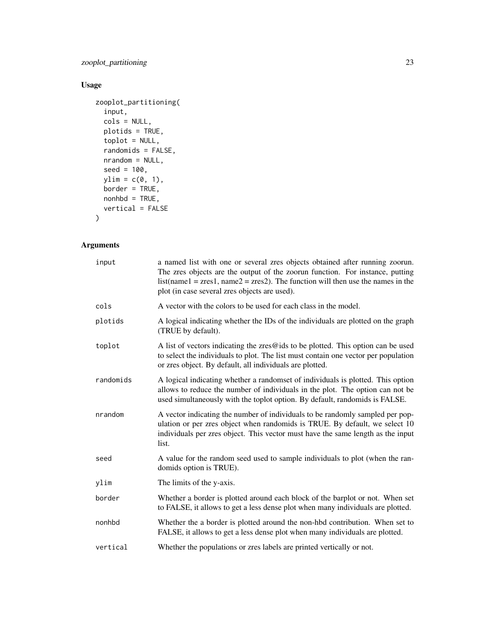zooplot\_partitioning 23

## Usage

```
zooplot_partitioning(
  input,
  cols = NULL,plotids = TRUE,
  toplot = NULL,
  randomids = FALSE,
  nrandom = NULL,
  seed = 100,
  ylim = c(0, 1),border = TRUE,
  nonhbd = TRUE,vertical = FALSE
```
## $\mathcal{L}$

| input     | a named list with one or several zres objects obtained after running zoorun.<br>The zres objects are the output of the zoorun function. For instance, putting<br>$list(name1 = zres1, name2 = zres2).$ The function will then use the names in the<br>plot (in case several zres objects are used). |
|-----------|-----------------------------------------------------------------------------------------------------------------------------------------------------------------------------------------------------------------------------------------------------------------------------------------------------|
| cols      | A vector with the colors to be used for each class in the model.                                                                                                                                                                                                                                    |
| plotids   | A logical indicating whether the IDs of the individuals are plotted on the graph<br>(TRUE by default).                                                                                                                                                                                              |
| toplot    | A list of vectors indicating the zres@ids to be plotted. This option can be used<br>to select the individuals to plot. The list must contain one vector per population<br>or zres object. By default, all individuals are plotted.                                                                  |
| randomids | A logical indicating whether a randomset of individuals is plotted. This option<br>allows to reduce the number of individuals in the plot. The option can not be<br>used simultaneously with the toplot option. By default, randomids is FALSE.                                                     |
| nrandom   | A vector indicating the number of individuals to be randomly sampled per pop-<br>ulation or per zres object when randomids is TRUE. By default, we select 10<br>individuals per zres object. This vector must have the same length as the input<br>list.                                            |
| seed      | A value for the random seed used to sample individuals to plot (when the ran-<br>domids option is TRUE).                                                                                                                                                                                            |
| ylim      | The limits of the y-axis.                                                                                                                                                                                                                                                                           |
| border    | Whether a border is plotted around each block of the barplot or not. When set<br>to FALSE, it allows to get a less dense plot when many individuals are plotted.                                                                                                                                    |
| nonhbd    | Whether the a border is plotted around the non-hbd contribution. When set to<br>FALSE, it allows to get a less dense plot when many individuals are plotted.                                                                                                                                        |
| vertical  | Whether the populations or zres labels are printed vertically or not.                                                                                                                                                                                                                               |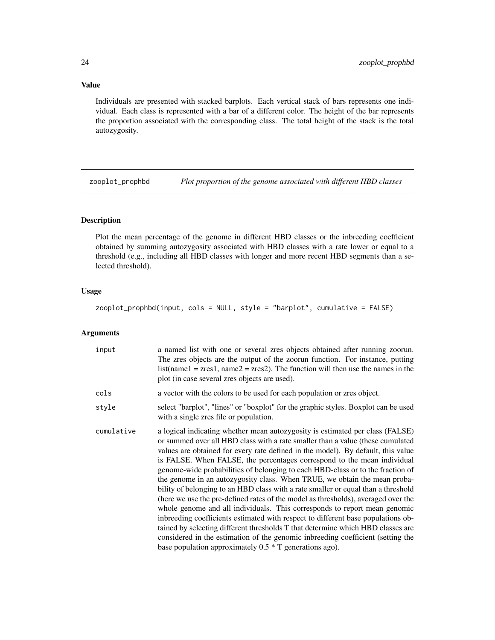## Value

Individuals are presented with stacked barplots. Each vertical stack of bars represents one individual. Each class is represented with a bar of a different color. The height of the bar represents the proportion associated with the corresponding class. The total height of the stack is the total autozygosity.

zooplot\_prophbd *Plot proportion of the genome associated with different HBD classes*

## Description

Plot the mean percentage of the genome in different HBD classes or the inbreeding coefficient obtained by summing autozygosity associated with HBD classes with a rate lower or equal to a threshold (e.g., including all HBD classes with longer and more recent HBD segments than a selected threshold).

#### Usage

zooplot\_prophbd(input, cols = NULL, style = "barplot", cumulative = FALSE)

| input      | a named list with one or several zres objects obtained after running zoorun.<br>The zres objects are the output of the zoorun function. For instance, putting<br>$list(name1 = zres1, name2 = zres2).$ The function will then use the names in the<br>plot (in case several zres objects are used).                                                                                                                                                                                                                                                                                                                                                                                                                                                                                                                                                                                                                                                                                                                                                                         |
|------------|-----------------------------------------------------------------------------------------------------------------------------------------------------------------------------------------------------------------------------------------------------------------------------------------------------------------------------------------------------------------------------------------------------------------------------------------------------------------------------------------------------------------------------------------------------------------------------------------------------------------------------------------------------------------------------------------------------------------------------------------------------------------------------------------------------------------------------------------------------------------------------------------------------------------------------------------------------------------------------------------------------------------------------------------------------------------------------|
| cols       | a vector with the colors to be used for each population or zres object.                                                                                                                                                                                                                                                                                                                                                                                                                                                                                                                                                                                                                                                                                                                                                                                                                                                                                                                                                                                                     |
| style      | select "barplot", "lines" or "boxplot" for the graphic styles. Boxplot can be used<br>with a single zres file or population.                                                                                                                                                                                                                                                                                                                                                                                                                                                                                                                                                                                                                                                                                                                                                                                                                                                                                                                                                |
| cumulative | a logical indicating whether mean autozygosity is estimated per class (FALSE)<br>or summed over all HBD class with a rate smaller than a value (these cumulated<br>values are obtained for every rate defined in the model). By default, this value<br>is FALSE. When FALSE, the percentages correspond to the mean individual<br>genome-wide probabilities of belonging to each HBD-class or to the fraction of<br>the genome in an autozygosity class. When TRUE, we obtain the mean proba-<br>bility of belonging to an HBD class with a rate smaller or equal than a threshold<br>(here we use the pre-defined rates of the model as thresholds), averaged over the<br>whole genome and all individuals. This corresponds to report mean genomic<br>inbreeding coefficients estimated with respect to different base populations ob-<br>tained by selecting different thresholds T that determine which HBD classes are<br>considered in the estimation of the genomic inbreeding coefficient (setting the<br>base population approximately $0.5 * T$ generations ago). |

<span id="page-23-0"></span>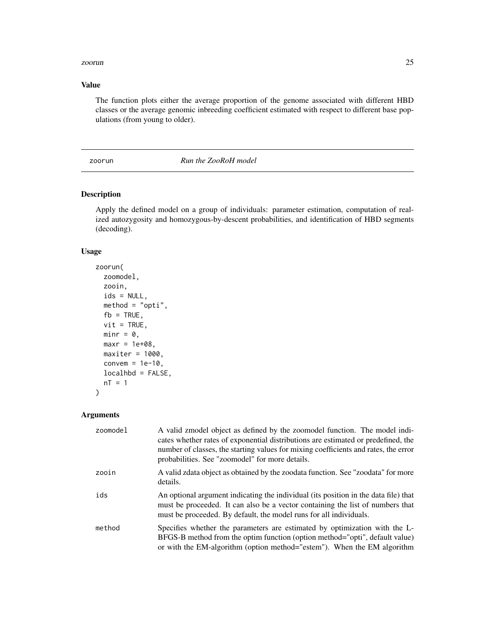#### <span id="page-24-0"></span>zoorun 25

## Value

The function plots either the average proportion of the genome associated with different HBD classes or the average genomic inbreeding coefficient estimated with respect to different base populations (from young to older).

## zoorun *Run the ZooRoH model*

#### Description

Apply the defined model on a group of individuals: parameter estimation, computation of realized autozygosity and homozygous-by-descent probabilities, and identification of HBD segments (decoding).

#### Usage

```
zoorun(
  zoomodel,
  zooin,
  ids = NULL,method = "opti",fb = TRUE,vit = TRUE,minr = 0,
 maxr = 1e+08,
 maxiter = 1000,convem = 1e-10,
 localhbd = FALSE,
 nT = 1)
```

| zoomodel | A valid zmodel object as defined by the zoomodel function. The model indi-<br>cates whether rates of exponential distributions are estimated or predefined, the<br>number of classes, the starting values for mixing coefficients and rates, the error<br>probabilities. See "zoomodel" for more details. |
|----------|-----------------------------------------------------------------------------------------------------------------------------------------------------------------------------------------------------------------------------------------------------------------------------------------------------------|
| zooin    | A valid zdata object as obtained by the zoodata function. See "zoodata" for more<br>details.                                                                                                                                                                                                              |
| ids      | An optional argument indicating the individual (its position in the data file) that<br>must be proceeded. It can also be a vector containing the list of numbers that<br>must be proceeded. By default, the model runs for all individuals.                                                               |
| method   | Specifies whether the parameters are estimated by optimization with the L-<br>BFGS-B method from the optim function (option method="opti", default value)<br>or with the EM-algorithm (option method="estem"). When the EM algorithm                                                                      |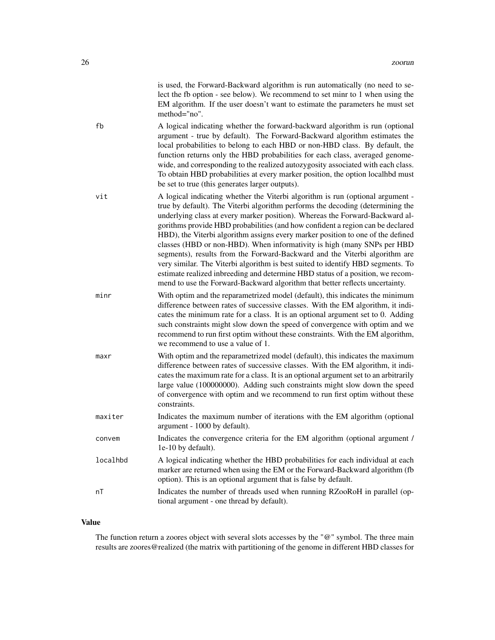|          | is used, the Forward-Backward algorithm is run automatically (no need to se-<br>lect the fb option - see below). We recommend to set minr to 1 when using the<br>EM algorithm. If the user doesn't want to estimate the parameters he must set<br>method="no".                                                                                                                                                                                                                                                                                                                                                                                                                                                                                                                                                                      |
|----------|-------------------------------------------------------------------------------------------------------------------------------------------------------------------------------------------------------------------------------------------------------------------------------------------------------------------------------------------------------------------------------------------------------------------------------------------------------------------------------------------------------------------------------------------------------------------------------------------------------------------------------------------------------------------------------------------------------------------------------------------------------------------------------------------------------------------------------------|
| fb       | A logical indicating whether the forward-backward algorithm is run (optional<br>argument - true by default). The Forward-Backward algorithm estimates the<br>local probabilities to belong to each HBD or non-HBD class. By default, the<br>function returns only the HBD probabilities for each class, averaged genome-<br>wide, and corresponding to the realized autozygosity associated with each class.<br>To obtain HBD probabilities at every marker position, the option localhbd must<br>be set to true (this generates larger outputs).                                                                                                                                                                                                                                                                                   |
| vit      | A logical indicating whether the Viterbi algorithm is run (optional argument -<br>true by default). The Viterbi algorithm performs the decoding (determining the<br>underlying class at every marker position). Whereas the Forward-Backward al-<br>gorithms provide HBD probabilities (and how confident a region can be declared<br>HBD), the Viterbi algorithm assigns every marker position to one of the defined<br>classes (HBD or non-HBD). When informativity is high (many SNPs per HBD<br>segments), results from the Forward-Backward and the Viterbi algorithm are<br>very similar. The Viterbi algorithm is best suited to identify HBD segments. To<br>estimate realized inbreeding and determine HBD status of a position, we recom-<br>mend to use the Forward-Backward algorithm that better reflects uncertainty. |
| minr     | With optim and the reparametrized model (default), this indicates the minimum<br>difference between rates of successive classes. With the EM algorithm, it indi-<br>cates the minimum rate for a class. It is an optional argument set to 0. Adding<br>such constraints might slow down the speed of convergence with optim and we<br>recommend to run first optim without these constraints. With the EM algorithm,<br>we recommend to use a value of 1.                                                                                                                                                                                                                                                                                                                                                                           |
| maxr     | With optim and the reparametrized model (default), this indicates the maximum<br>difference between rates of successive classes. With the EM algorithm, it indi-<br>cates the maximum rate for a class. It is an optional argument set to an arbitrarily<br>large value (100000000). Adding such constraints might slow down the speed<br>of convergence with optim and we recommend to run first optim without these<br>constraints.                                                                                                                                                                                                                                                                                                                                                                                               |
| maxiter  | Indicates the maximum number of iterations with the EM algorithm (optional<br>argument - 1000 by default).                                                                                                                                                                                                                                                                                                                                                                                                                                                                                                                                                                                                                                                                                                                          |
| convem   | Indicates the convergence criteria for the EM algorithm (optional argument /<br>1e-10 by default).                                                                                                                                                                                                                                                                                                                                                                                                                                                                                                                                                                                                                                                                                                                                  |
| localhbd | A logical indicating whether the HBD probabilities for each individual at each<br>marker are returned when using the EM or the Forward-Backward algorithm (fb<br>option). This is an optional argument that is false by default.                                                                                                                                                                                                                                                                                                                                                                                                                                                                                                                                                                                                    |
| nT       | Indicates the number of threads used when running RZooRoH in parallel (op-<br>tional argument - one thread by default).                                                                                                                                                                                                                                                                                                                                                                                                                                                                                                                                                                                                                                                                                                             |

## Value

The function return a zoores object with several slots accesses by the "@" symbol. The three main results are zoores@realized (the matrix with partitioning of the genome in different HBD classes for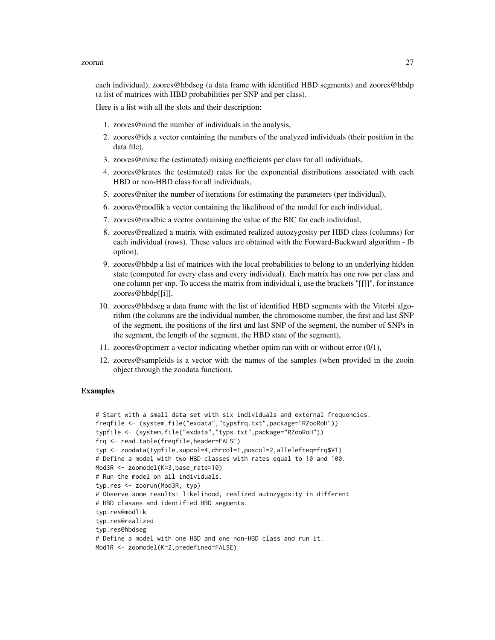#### zoorun 27

each individual), zoores@hbdseg (a data frame with identified HBD segments) and zoores@hbdp (a list of matrices with HBD probabilities per SNP and per class).

Here is a list with all the slots and their description:

- 1. zoores@nind the number of individuals in the analysis,
- 2. zoores@ids a vector containing the numbers of the analyzed individuals (their position in the data file),
- 3. zoores@mixc the (estimated) mixing coefficients per class for all individuals,
- 4. zoores@krates the (estimated) rates for the exponential distributions associated with each HBD or non-HBD class for all individuals,
- 5. zoores@niter the number of iterations for estimating the parameters (per individual),
- 6. zoores@modlik a vector containing the likelihood of the model for each individual,
- 7. zoores@modbic a vector containing the value of the BIC for each individual,
- 8. zoores@realized a matrix with estimated realized autozygosity per HBD class (columns) for each individual (rows). These values are obtained with the Forward-Backward algorithm - fb option),
- 9. zoores@hbdp a list of matrices with the local probabilities to belong to an underlying hidden state (computed for every class and every individual). Each matrix has one row per class and one column per snp. To access the matrix from individual i, use the brackets "[[]]", for instance zoores@hbdp[[i]],
- 10. zoores@hbdseg a data frame with the list of identified HBD segments with the Viterbi algorithm (the columns are the individual number, the chromosome number, the first and last SNP of the segment, the positions of the first and last SNP of the segment, the number of SNPs in the segment, the length of the segment, the HBD state of the segment),
- 11. zoores@optimerr a vector indicating whether optim ran with or without error (0/1),
- 12. zoores@sampleids is a vector with the names of the samples (when provided in the zooin object through the zoodata function).

#### Examples

```
# Start with a small data set with six individuals and external frequencies.
freqfile <- (system.file("exdata","typsfrq.txt",package="RZooRoH"))
typfile <- (system.file("exdata","typs.txt",package="RZooRoH"))
frq <- read.table(freqfile,header=FALSE)
typ <- zoodata(typfile,supcol=4,chrcol=1,poscol=2,allelefreq=frq$V1)
# Define a model with two HBD classes with rates equal to 10 and 100.
Mod3R <- zoomodel(K=3,base_rate=10)
# Run the model on all individuals.
typ.res <- zoorun(Mod3R, typ)
# Observe some results: likelihood, realized autozygosity in different
# HBD classes and identified HBD segments.
typ.res@modlik
typ.res@realized
typ.res@hbdseg
# Define a model with one HBD and one non-HBD class and run it.
Mod1R <- zoomodel(K=2,predefined=FALSE)
```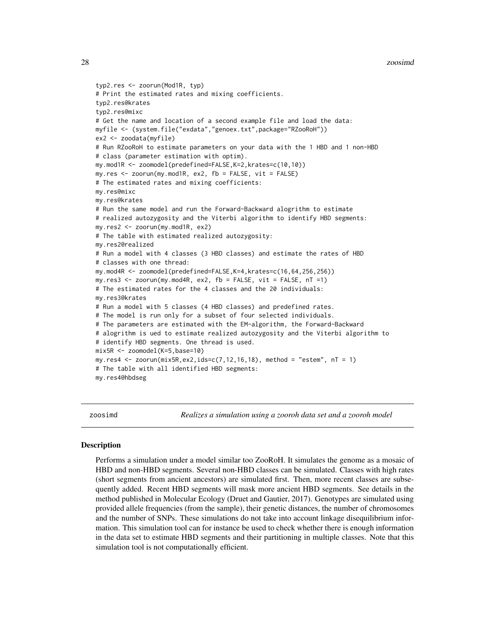```
typ2.res <- zoorun(Mod1R, typ)
# Print the estimated rates and mixing coefficients.
typ2.res@krates
typ2.res@mixc
# Get the name and location of a second example file and load the data:
myfile <- (system.file("exdata","genoex.txt",package="RZooRoH"))
ex2 <- zoodata(myfile)
# Run RZooRoH to estimate parameters on your data with the 1 HBD and 1 non-HBD
# class (parameter estimation with optim).
my.mod1R <- zoomodel(predefined=FALSE,K=2,krates=c(10,10))
my.res <- zoorun(my.mod1R, ex2, fb = FALSE, vit = FALSE)
# The estimated rates and mixing coefficients:
my.res@mixc
my.res@krates
# Run the same model and run the Forward-Backward alogrithm to estimate
# realized autozygosity and the Viterbi algorithm to identify HBD segments:
my.res2 <- zoorun(my.mod1R, ex2)
# The table with estimated realized autozygosity:
my.res2@realized
# Run a model with 4 classes (3 HBD classes) and estimate the rates of HBD
# classes with one thread:
my.mod4R <- zoomodel(predefined=FALSE,K=4,krates=c(16,64,256,256))
my.res3 <- zoorun(my.mod4R, ex2, fb = FALSE, vit = FALSE, nT =1)
# The estimated rates for the 4 classes and the 20 individuals:
my.res3@krates
# Run a model with 5 classes (4 HBD classes) and predefined rates.
# The model is run only for a subset of four selected individuals.
# The parameters are estimated with the EM-algorithm, the Forward-Backward
# alogrithm is ued to estimate realized autozygosity and the Viterbi algorithm to
# identify HBD segments. One thread is used.
mix5R <- zoomodel(K=5,base=10)
my.res4 <- zoorun(mix5R,ex2,ids=c(7,12,16,18), method = "estem", nT = 1)
# The table with all identified HBD segments:
my.res4@hbdseg
```
zoosimd *Realizes a simulation using a zooroh data set and a zooroh model*

#### **Description**

Performs a simulation under a model similar too ZooRoH. It simulates the genome as a mosaic of HBD and non-HBD segments. Several non-HBD classes can be simulated. Classes with high rates (short segments from ancient ancestors) are simulated first. Then, more recent classes are subsequently added. Recent HBD segments will mask more ancient HBD segments. See details in the method published in Molecular Ecology (Druet and Gautier, 2017). Genotypes are simulated using provided allele frequencies (from the sample), their genetic distances, the number of chromosomes and the number of SNPs. These simulations do not take into account linkage disequilibrium information. This simulation tool can for instance be used to check whether there is enough information in the data set to estimate HBD segments and their partitioning in multiple classes. Note that this simulation tool is not computationally efficient.

<span id="page-27-0"></span>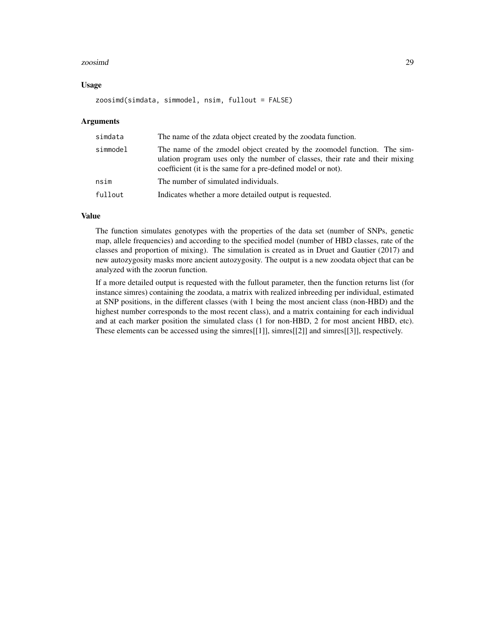#### zoosimd 29

#### Usage

zoosimd(simdata, simmodel, nsim, fullout = FALSE)

#### Arguments

| simdata  | The name of the zdata object created by the zoodata function.                                                                                                                                                            |
|----------|--------------------------------------------------------------------------------------------------------------------------------------------------------------------------------------------------------------------------|
| simmodel | The name of the zmodel object created by the zoomodel function. The sim-<br>ulation program uses only the number of classes, their rate and their mixing<br>coefficient (it is the same for a pre-defined model or not). |
| nsim     | The number of simulated individuals.                                                                                                                                                                                     |
| fullout  | Indicates whether a more detailed output is requested.                                                                                                                                                                   |

## Value

The function simulates genotypes with the properties of the data set (number of SNPs, genetic map, allele frequencies) and according to the specified model (number of HBD classes, rate of the classes and proportion of mixing). The simulation is created as in Druet and Gautier (2017) and new autozygosity masks more ancient autozygosity. The output is a new zoodata object that can be analyzed with the zoorun function.

If a more detailed output is requested with the fullout parameter, then the function returns list (for instance simres) containing the zoodata, a matrix with realized inbreeding per individual, estimated at SNP positions, in the different classes (with 1 being the most ancient class (non-HBD) and the highest number corresponds to the most recent class), and a matrix containing for each individual and at each marker position the simulated class (1 for non-HBD, 2 for most ancient HBD, etc). These elements can be accessed using the simres[[1]], simres[[2]] and simres[[3]], respectively.